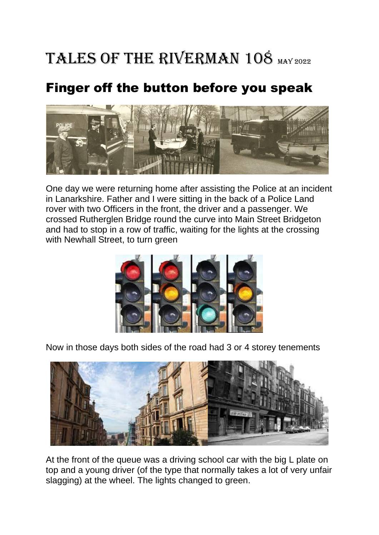## TALES OF THE RIVERMAN 108 MAY 2022

## Finger off the button before you speak



One day we were returning home after assisting the Police at an incident in Lanarkshire. Father and I were sitting in the back of a Police Land rover with two Officers in the front, the driver and a passenger. We crossed Rutherglen Bridge round the curve into Main Street Bridgeton and had to stop in a row of traffic, waiting for the lights at the crossing with Newhall Street, to turn green



Now in those days both sides of the road had 3 or 4 storey tenements



At the front of the queue was a driving school car with the big L plate on top and a young driver (of the type that normally takes a lot of very unfair slagging) at the wheel. The lights changed to green.